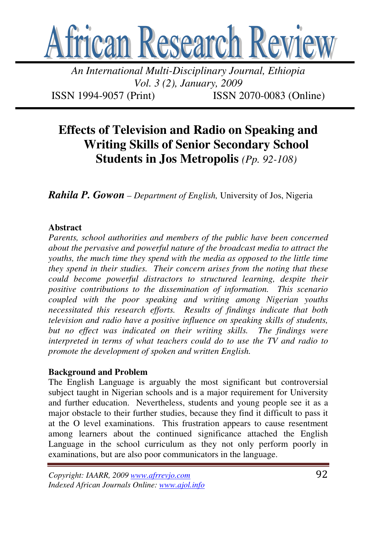

*An International Multi-Disciplinary Journal, Ethiopia Vol. 3 (2), January, 2009*  ISSN 1994-9057 (Print) ISSN 2070-0083 (Online)

# **Effects of Television and Radio on Speaking and Writing Skills of Senior Secondary School Students in Jos Metropolis** *(Pp. 92-108)*

*Rahila P. Gowon – Department of English,* University of Jos, Nigeria

#### **Abstract**

*Parents, school authorities and members of the public have been concerned about the pervasive and powerful nature of the broadcast media to attract the youths, the much time they spend with the media as opposed to the little time they spend in their studies. Their concern arises from the noting that these could become powerful distractors to structured learning, despite their positive contributions to the dissemination of information. This scenario coupled with the poor speaking and writing among Nigerian youths necessitated this research efforts. Results of findings indicate that both television and radio have a positive influence on speaking skills of students, but no effect was indicated on their writing skills. The findings were interpreted in terms of what teachers could do to use the TV and radio to promote the development of spoken and written English.* 

## **Background and Problem**

The English Language is arguably the most significant but controversial subject taught in Nigerian schools and is a major requirement for University and further education. Nevertheless, students and young people see it as a major obstacle to their further studies, because they find it difficult to pass it at the O level examinations. This frustration appears to cause resentment among learners about the continued significance attached the English Language in the school curriculum as they not only perform poorly in examinations, but are also poor communicators in the language.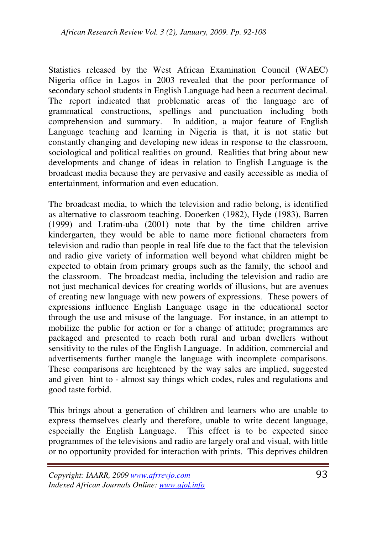Statistics released by the West African Examination Council (WAEC) Nigeria office in Lagos in 2003 revealed that the poor performance of secondary school students in English Language had been a recurrent decimal. The report indicated that problematic areas of the language are of grammatical constructions, spellings and punctuation including both comprehension and summary. In addition, a major feature of English Language teaching and learning in Nigeria is that, it is not static but constantly changing and developing new ideas in response to the classroom, sociological and political realities on ground. Realities that bring about new developments and change of ideas in relation to English Language is the broadcast media because they are pervasive and easily accessible as media of entertainment, information and even education.

The broadcast media, to which the television and radio belong, is identified as alternative to classroom teaching. Dooerken (1982), Hyde (1983), Barren (1999) and Lratim-uba (2001) note that by the time children arrive kindergarten, they would be able to name more fictional characters from television and radio than people in real life due to the fact that the television and radio give variety of information well beyond what children might be expected to obtain from primary groups such as the family, the school and the classroom. The broadcast media, including the television and radio are not just mechanical devices for creating worlds of illusions, but are avenues of creating new language with new powers of expressions. These powers of expressions influence English Language usage in the educational sector through the use and misuse of the language. For instance, in an attempt to mobilize the public for action or for a change of attitude; programmes are packaged and presented to reach both rural and urban dwellers without sensitivity to the rules of the English Language. In addition, commercial and advertisements further mangle the language with incomplete comparisons. These comparisons are heightened by the way sales are implied, suggested and given hint to - almost say things which codes, rules and regulations and good taste forbid.

This brings about a generation of children and learners who are unable to express themselves clearly and therefore, unable to write decent language, especially the English Language. This effect is to be expected since programmes of the televisions and radio are largely oral and visual, with little or no opportunity provided for interaction with prints. This deprives children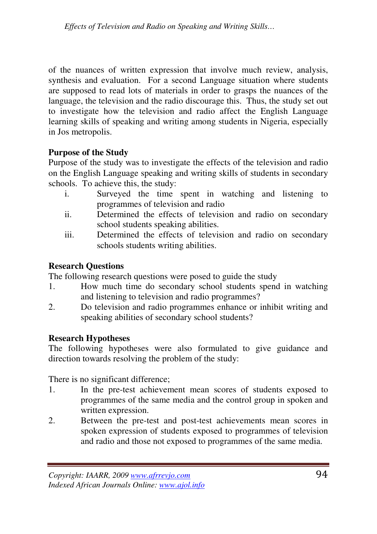of the nuances of written expression that involve much review, analysis, synthesis and evaluation. For a second Language situation where students are supposed to read lots of materials in order to grasps the nuances of the language, the television and the radio discourage this. Thus, the study set out to investigate how the television and radio affect the English Language learning skills of speaking and writing among students in Nigeria, especially in Jos metropolis.

## **Purpose of the Study**

Purpose of the study was to investigate the effects of the television and radio on the English Language speaking and writing skills of students in secondary schools. To achieve this, the study:

- i. Surveyed the time spent in watching and listening to programmes of television and radio
- ii. Determined the effects of television and radio on secondary school students speaking abilities.
- iii. Determined the effects of television and radio on secondary schools students writing abilities.

## **Research Questions**

The following research questions were posed to guide the study

- 1. How much time do secondary school students spend in watching and listening to television and radio programmes?
- 2. Do television and radio programmes enhance or inhibit writing and speaking abilities of secondary school students?

## **Research Hypotheses**

The following hypotheses were also formulated to give guidance and direction towards resolving the problem of the study:

There is no significant difference;

- 1. In the pre-test achievement mean scores of students exposed to programmes of the same media and the control group in spoken and written expression.
- 2. Between the pre-test and post-test achievements mean scores in spoken expression of students exposed to programmes of television and radio and those not exposed to programmes of the same media.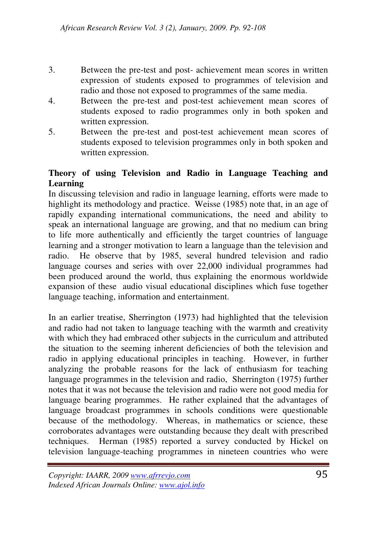- 3. Between the pre-test and post- achievement mean scores in written expression of students exposed to programmes of television and radio and those not exposed to programmes of the same media.
- 4. Between the pre-test and post-test achievement mean scores of students exposed to radio programmes only in both spoken and written expression.
- 5. Between the pre-test and post-test achievement mean scores of students exposed to television programmes only in both spoken and written expression.

#### **Theory of using Television and Radio in Language Teaching and Learning**

In discussing television and radio in language learning, efforts were made to highlight its methodology and practice. Weisse (1985) note that, in an age of rapidly expanding international communications, the need and ability to speak an international language are growing, and that no medium can bring to life more authentically and efficiently the target countries of language learning and a stronger motivation to learn a language than the television and radio. He observe that by 1985, several hundred television and radio language courses and series with over 22,000 individual programmes had been produced around the world, thus explaining the enormous worldwide expansion of these audio visual educational disciplines which fuse together language teaching, information and entertainment.

In an earlier treatise, Sherrington (1973) had highlighted that the television and radio had not taken to language teaching with the warmth and creativity with which they had embraced other subjects in the curriculum and attributed the situation to the seeming inherent deficiencies of both the television and radio in applying educational principles in teaching. However, in further analyzing the probable reasons for the lack of enthusiasm for teaching language programmes in the television and radio, Sherrington (1975) further notes that it was not because the television and radio were not good media for language bearing programmes. He rather explained that the advantages of language broadcast programmes in schools conditions were questionable because of the methodology. Whereas, in mathematics or science, these corroborates advantages were outstanding because they dealt with prescribed techniques. Herman (1985) reported a survey conducted by Hickel on television language-teaching programmes in nineteen countries who were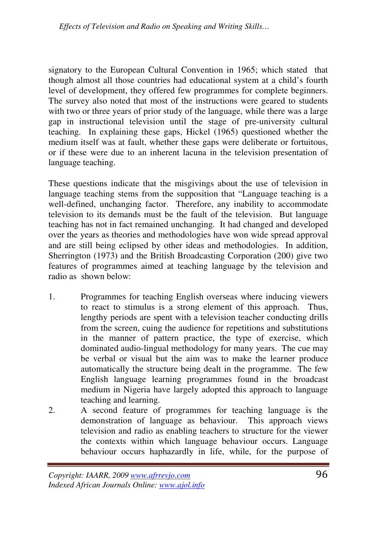signatory to the European Cultural Convention in 1965; which stated that though almost all those countries had educational system at a child's fourth level of development, they offered few programmes for complete beginners. The survey also noted that most of the instructions were geared to students with two or three years of prior study of the language, while there was a large gap in instructional television until the stage of pre-university cultural teaching. In explaining these gaps, Hickel (1965) questioned whether the medium itself was at fault, whether these gaps were deliberate or fortuitous, or if these were due to an inherent lacuna in the television presentation of language teaching.

These questions indicate that the misgivings about the use of television in language teaching stems from the supposition that "Language teaching is a well-defined, unchanging factor. Therefore, any inability to accommodate television to its demands must be the fault of the television. But language teaching has not in fact remained unchanging. It had changed and developed over the years as theories and methodologies have won wide spread approval and are still being eclipsed by other ideas and methodologies. In addition, Sherrington (1973) and the British Broadcasting Corporation (200) give two features of programmes aimed at teaching language by the television and radio as shown below:

- 1. Programmes for teaching English overseas where inducing viewers to react to stimulus is a strong element of this approach. Thus, lengthy periods are spent with a television teacher conducting drills from the screen, cuing the audience for repetitions and substitutions in the manner of pattern practice, the type of exercise, which dominated audio-lingual methodology for many years. The cue may be verbal or visual but the aim was to make the learner produce automatically the structure being dealt in the programme. The few English language learning programmes found in the broadcast medium in Nigeria have largely adopted this approach to language teaching and learning.
- 2. A second feature of programmes for teaching language is the demonstration of language as behaviour. This approach views television and radio as enabling teachers to structure for the viewer the contexts within which language behaviour occurs. Language behaviour occurs haphazardly in life, while, for the purpose of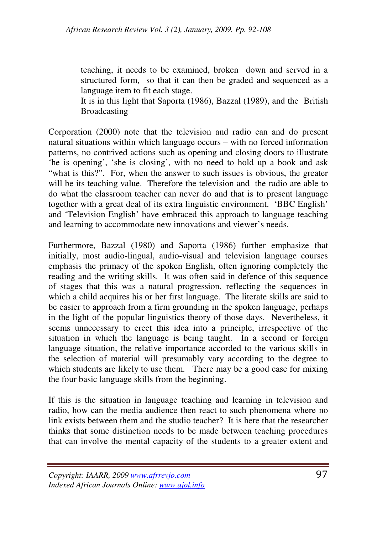teaching, it needs to be examined, broken down and served in a structured form, so that it can then be graded and sequenced as a language item to fit each stage.

It is in this light that Saporta (1986), Bazzal (1989), and the British Broadcasting

Corporation (2000) note that the television and radio can and do present natural situations within which language occurs – with no forced information patterns, no contrived actions such as opening and closing doors to illustrate 'he is opening', 'she is closing', with no need to hold up a book and ask "what is this?". For, when the answer to such issues is obvious, the greater will be its teaching value. Therefore the television and the radio are able to do what the classroom teacher can never do and that is to present language together with a great deal of its extra linguistic environment. 'BBC English' and 'Television English' have embraced this approach to language teaching and learning to accommodate new innovations and viewer's needs.

Furthermore, Bazzal (1980) and Saporta (1986) further emphasize that initially, most audio-lingual, audio-visual and television language courses emphasis the primacy of the spoken English, often ignoring completely the reading and the writing skills. It was often said in defence of this sequence of stages that this was a natural progression, reflecting the sequences in which a child acquires his or her first language. The literate skills are said to be easier to approach from a firm grounding in the spoken language, perhaps in the light of the popular linguistics theory of those days. Nevertheless, it seems unnecessary to erect this idea into a principle, irrespective of the situation in which the language is being taught. In a second or foreign language situation, the relative importance accorded to the various skills in the selection of material will presumably vary according to the degree to which students are likely to use them. There may be a good case for mixing the four basic language skills from the beginning.

If this is the situation in language teaching and learning in television and radio, how can the media audience then react to such phenomena where no link exists between them and the studio teacher? It is here that the researcher thinks that some distinction needs to be made between teaching procedures that can involve the mental capacity of the students to a greater extent and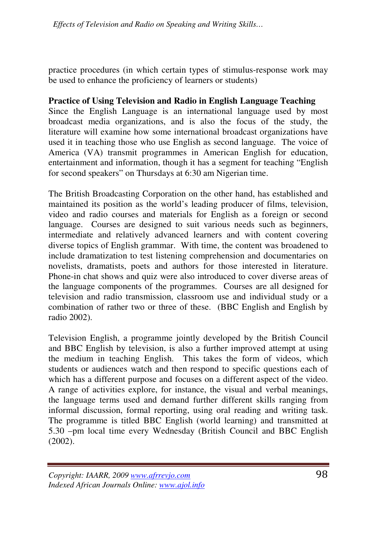practice procedures (in which certain types of stimulus-response work may be used to enhance the proficiency of learners or students)

## **Practice of Using Television and Radio in English Language Teaching**

Since the English Language is an international language used by most broadcast media organizations, and is also the focus of the study, the literature will examine how some international broadcast organizations have used it in teaching those who use English as second language. The voice of America (VA) transmit programmes in American English for education, entertainment and information, though it has a segment for teaching "English for second speakers" on Thursdays at 6:30 am Nigerian time.

The British Broadcasting Corporation on the other hand, has established and maintained its position as the world's leading producer of films, television, video and radio courses and materials for English as a foreign or second language. Courses are designed to suit various needs such as beginners, intermediate and relatively advanced learners and with content covering diverse topics of English grammar. With time, the content was broadened to include dramatization to test listening comprehension and documentaries on novelists, dramatists, poets and authors for those interested in literature. Phone-in chat shows and quiz were also introduced to cover diverse areas of the language components of the programmes. Courses are all designed for television and radio transmission, classroom use and individual study or a combination of rather two or three of these. (BBC English and English by radio 2002).

Television English, a programme jointly developed by the British Council and BBC English by television, is also a further improved attempt at using the medium in teaching English. This takes the form of videos, which students or audiences watch and then respond to specific questions each of which has a different purpose and focuses on a different aspect of the video. A range of activities explore, for instance, the visual and verbal meanings, the language terms used and demand further different skills ranging from informal discussion, formal reporting, using oral reading and writing task. The programme is titled BBC English (world learning) and transmitted at 5.30 –pm local time every Wednesday (British Council and BBC English (2002).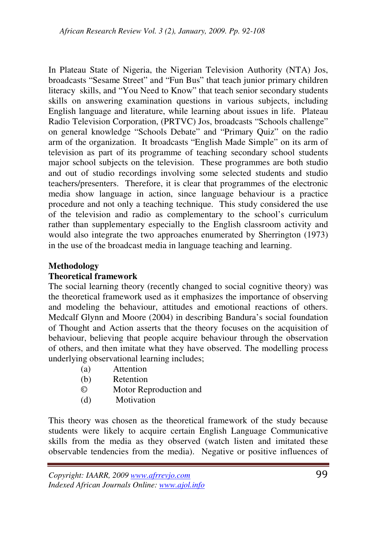In Plateau State of Nigeria, the Nigerian Television Authority (NTA) Jos, broadcasts "Sesame Street" and "Fun Bus" that teach junior primary children literacy skills, and "You Need to Know" that teach senior secondary students skills on answering examination questions in various subjects, including English language and literature, while learning about issues in life. Plateau Radio Television Corporation, (PRTVC) Jos, broadcasts "Schools challenge" on general knowledge "Schools Debate" and "Primary Quiz" on the radio arm of the organization. It broadcasts "English Made Simple" on its arm of television as part of its programme of teaching secondary school students major school subjects on the television. These programmes are both studio and out of studio recordings involving some selected students and studio teachers/presenters. Therefore, it is clear that programmes of the electronic media show language in action, since language behaviour is a practice procedure and not only a teaching technique. This study considered the use of the television and radio as complementary to the school's curriculum rather than supplementary especially to the English classroom activity and would also integrate the two approaches enumerated by Sherrington (1973) in the use of the broadcast media in language teaching and learning.

# **Methodology**

## **Theoretical framework**

The social learning theory (recently changed to social cognitive theory) was the theoretical framework used as it emphasizes the importance of observing and modeling the behaviour, attitudes and emotional reactions of others. Medcalf Glynn and Moore (2004) in describing Bandura's social foundation of Thought and Action asserts that the theory focuses on the acquisition of behaviour, believing that people acquire behaviour through the observation of others, and then imitate what they have observed. The modelling process underlying observational learning includes;

- (a) Attention
- (b) Retention
- © Motor Reproduction and
- (d) Motivation

This theory was chosen as the theoretical framework of the study because students were likely to acquire certain English Language Communicative skills from the media as they observed (watch listen and imitated these observable tendencies from the media). Negative or positive influences of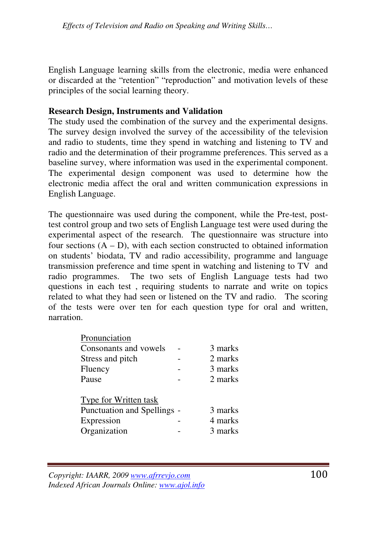English Language learning skills from the electronic, media were enhanced or discarded at the "retention" "reproduction" and motivation levels of these principles of the social learning theory.

#### **Research Design, Instruments and Validation**

The study used the combination of the survey and the experimental designs. The survey design involved the survey of the accessibility of the television and radio to students, time they spend in watching and listening to TV and radio and the determination of their programme preferences. This served as a baseline survey, where information was used in the experimental component. The experimental design component was used to determine how the electronic media affect the oral and written communication expressions in English Language.

The questionnaire was used during the component, while the Pre-test, posttest control group and two sets of English Language test were used during the experimental aspect of the research. The questionnaire was structure into four sections  $(A - D)$ , with each section constructed to obtained information on students' biodata, TV and radio accessibility, programme and language transmission preference and time spent in watching and listening to TV and radio programmes. The two sets of English Language tests had two questions in each test , requiring students to narrate and write on topics related to what they had seen or listened on the TV and radio. The scoring of the tests were over ten for each question type for oral and written, narration.

| Pronunciation               |         |
|-----------------------------|---------|
| Consonants and vowels       | 3 marks |
| Stress and pitch            | 2 marks |
| Fluency                     | 3 marks |
| Pause                       | 2 marks |
| Type for Written task       |         |
|                             |         |
| Punctuation and Spellings - | 3 marks |
| Expression                  | 4 marks |

Organization - 3 marks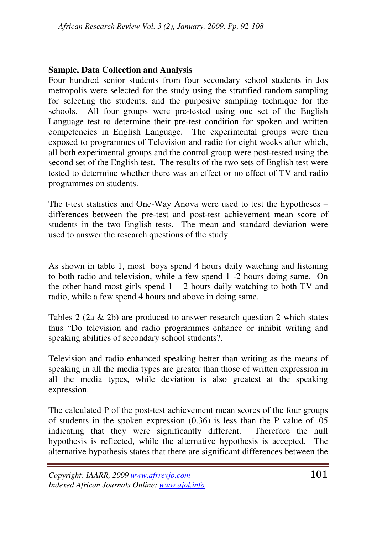#### **Sample, Data Collection and Analysis**

Four hundred senior students from four secondary school students in Jos metropolis were selected for the study using the stratified random sampling for selecting the students, and the purposive sampling technique for the schools. All four groups were pre-tested using one set of the English Language test to determine their pre-test condition for spoken and written competencies in English Language. The experimental groups were then exposed to programmes of Television and radio for eight weeks after which, all both experimental groups and the control group were post-tested using the second set of the English test. The results of the two sets of English test were tested to determine whether there was an effect or no effect of TV and radio programmes on students.

The t-test statistics and One-Way Anova were used to test the hypotheses – differences between the pre-test and post-test achievement mean score of students in the two English tests. The mean and standard deviation were used to answer the research questions of the study.

As shown in table 1, most boys spend 4 hours daily watching and listening to both radio and television, while a few spend 1 -2 hours doing same. On the other hand most girls spend  $1 - 2$  hours daily watching to both TV and radio, while a few spend 4 hours and above in doing same.

Tables 2 (2a & 2b) are produced to answer research question 2 which states thus "Do television and radio programmes enhance or inhibit writing and speaking abilities of secondary school students?.

Television and radio enhanced speaking better than writing as the means of speaking in all the media types are greater than those of written expression in all the media types, while deviation is also greatest at the speaking expression.

The calculated P of the post-test achievement mean scores of the four groups of students in the spoken expression (0.36) is less than the P value of .05 indicating that they were significantly different. Therefore the null hypothesis is reflected, while the alternative hypothesis is accepted. The alternative hypothesis states that there are significant differences between the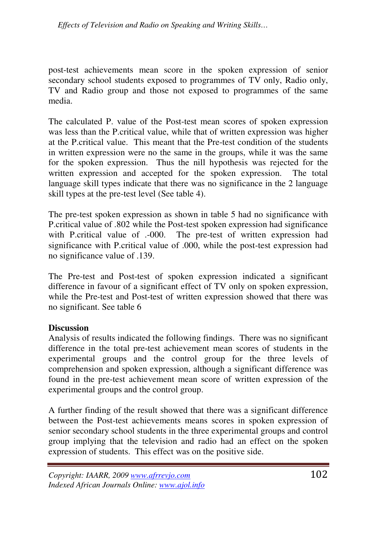post-test achievements mean score in the spoken expression of senior secondary school students exposed to programmes of  $T\overline{V}$  only, Radio only, TV and Radio group and those not exposed to programmes of the same media.

The calculated P. value of the Post-test mean scores of spoken expression was less than the P.critical value, while that of written expression was higher at the P.critical value. This meant that the Pre-test condition of the students in written expression were no the same in the groups, while it was the same for the spoken expression. Thus the nill hypothesis was rejected for the written expression and accepted for the spoken expression. The total language skill types indicate that there was no significance in the 2 language skill types at the pre-test level (See table 4).

The pre-test spoken expression as shown in table 5 had no significance with P.critical value of .802 while the Post-test spoken expression had significance with P.critical value of .-000. The pre-test of written expression had significance with P.critical value of .000, while the post-test expression had no significance value of .139.

The Pre-test and Post-test of spoken expression indicated a significant difference in favour of a significant effect of TV only on spoken expression, while the Pre-test and Post-test of written expression showed that there was no significant. See table 6

#### **Discussion**

Analysis of results indicated the following findings. There was no significant difference in the total pre-test achievement mean scores of students in the experimental groups and the control group for the three levels of comprehension and spoken expression, although a significant difference was found in the pre-test achievement mean score of written expression of the experimental groups and the control group.

A further finding of the result showed that there was a significant difference between the Post-test achievements means scores in spoken expression of senior secondary school students in the three experimental groups and control group implying that the television and radio had an effect on the spoken expression of students. This effect was on the positive side.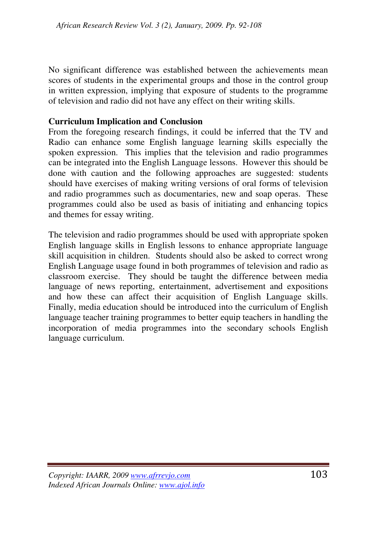No significant difference was established between the achievements mean scores of students in the experimental groups and those in the control group in written expression, implying that exposure of students to the programme of television and radio did not have any effect on their writing skills.

#### **Curriculum Implication and Conclusion**

From the foregoing research findings, it could be inferred that the TV and Radio can enhance some English language learning skills especially the spoken expression. This implies that the television and radio programmes can be integrated into the English Language lessons. However this should be done with caution and the following approaches are suggested: students should have exercises of making writing versions of oral forms of television and radio programmes such as documentaries, new and soap operas. These programmes could also be used as basis of initiating and enhancing topics and themes for essay writing.

The television and radio programmes should be used with appropriate spoken English language skills in English lessons to enhance appropriate language skill acquisition in children. Students should also be asked to correct wrong English Language usage found in both programmes of television and radio as classroom exercise. They should be taught the difference between media language of news reporting, entertainment, advertisement and expositions and how these can affect their acquisition of English Language skills. Finally, media education should be introduced into the curriculum of English language teacher training programmes to better equip teachers in handling the incorporation of media programmes into the secondary schools English language curriculum.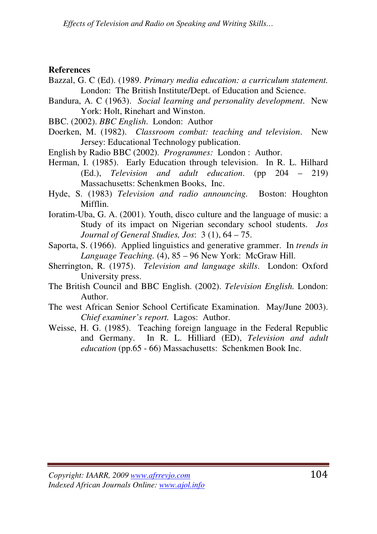## **References**

- Bazzal, G. C (Ed). (1989. *Primary media education: a curriculum statement.* London: The British Institute/Dept. of Education and Science.
- Bandura, A. C (1963). *Social learning and personality development*. New York: Holt, Rinehart and Winston.
- BBC. (2002). *BBC English*. London: Author
- Doerken, M. (1982). *Classroom combat: teaching and television*. New Jersey: Educational Technology publication.
- English by Radio BBC (2002). *Programmes:* London : Author.
- Herman, I. (1985). Early Education through television. In R. L. Hilhard (Ed.), *Television and adult education*. (pp 204 – 219) Massachusetts: Schenkmen Books, Inc.
- Hyde, S. (1983) *Television and radio announcing.* Boston: Houghton Mifflin.
- Ioratim-Uba, G. A. (2001). Youth, disco culture and the language of music: a Study of its impact on Nigerian secondary school students. *Jos Journal of General Studies, Jos*: 3 (1), 64 – 75.
- Saporta, S. (1966). Applied linguistics and generative grammer. In *trends in Language Teaching.* (4), 85 – 96 New York: McGraw Hill.
- Sherrington, R. (1975). *Television and language skills*. London: Oxford University press.
- The British Council and BBC English. (2002). *Television English.* London: Author.
- The west African Senior School Certificate Examination. May/June 2003). *Chief examiner's report.* Lagos: Author.
- Weisse, H. G. (1985). Teaching foreign language in the Federal Republic and Germany. In R. L. Hilliard (ED), *Television and adult education* (pp.65 - 66) Massachusetts: Schenkmen Book Inc.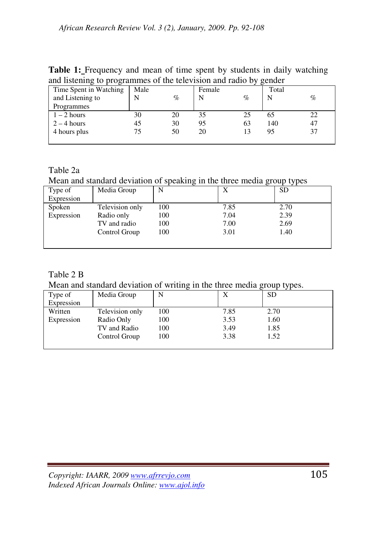| and listening to programmes of the television and radio by gender |      |      |        |      |       |      |  |  |
|-------------------------------------------------------------------|------|------|--------|------|-------|------|--|--|
| Time Spent in Watching                                            | Male |      | Female |      | Total |      |  |  |
| and Listening to                                                  | N    | $\%$ |        | $\%$ | N     | $\%$ |  |  |
| Programmes                                                        |      |      |        |      |       |      |  |  |
| $1 - 2$ hours                                                     | 30   | 20   | 35     | 25   | 65    | 22   |  |  |
| $2 - 4$ hours                                                     | 45   | 30   | 95     | 63   | 140   | 47   |  |  |
| 4 hours plus                                                      | 75   | 50   | 20     | 13   | 95    | 37   |  |  |
|                                                                   |      |      |        |      |       |      |  |  |

Table 1: Frequency and mean of time spent by students in daily watching and listening to programmes of the television and radio by gender

## Table 2a

Mean and standard deviation of speaking in the three media group types

| Type of    | Media Group     | N   | Х    | <b>SD</b> |
|------------|-----------------|-----|------|-----------|
| Expression |                 |     |      |           |
| Spoken     | Television only | 100 | 7.85 | 2.70      |
| Expression | Radio only      | 100 | 7.04 | 2.39      |
|            | TV and radio    | 100 | 7.00 | 2.69      |
|            | Control Group   | 100 | 3.01 | 1.40      |
|            |                 |     |      |           |
|            |                 |     |      |           |

## Table 2 B

Mean and standard deviation of writing in the three media group types.

|            |                 |     |      | - -       |
|------------|-----------------|-----|------|-----------|
| Type of    | Media Group     |     |      | <b>SD</b> |
| Expression |                 |     |      |           |
| Written    | Television only | 100 | 7.85 | 2.70      |
| Expression | Radio Only      | 100 | 3.53 | 1.60      |
|            | TV and Radio    | 100 | 3.49 | 1.85      |
|            | Control Group   | 100 | 3.38 | 1.52      |
|            |                 |     |      |           |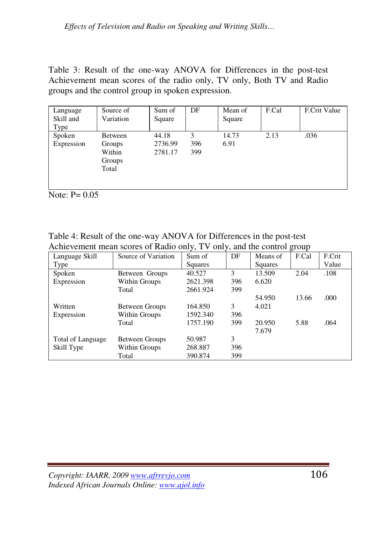Table 3: Result of the one-way ANOVA for Differences in the post-test Achievement mean scores of the radio only, TV only, Both TV and Radio groups and the control group in spoken expression.

| Language<br>Skill and<br>Type | Source of<br>Variation                         | Sum of<br>Square            | DF              | Mean of<br>Square | F.Cal | F.Crit Value |
|-------------------------------|------------------------------------------------|-----------------------------|-----------------|-------------------|-------|--------------|
| Spoken<br>Expression          | Between<br>Groups<br>Within<br>Groups<br>Total | 44.18<br>2736.99<br>2781.17 | 3<br>396<br>399 | 14.73<br>6.91     | 2.13  | .036         |

Note: P= 0.05

Table 4: Result of the one-way ANOVA for Differences in the post-test Achievement mean scores of Radio only, TV only, and the control group

| Language Skill    | Source of Variation   | Sum of   | DF  | Means of | F.Cal | F.Crit |
|-------------------|-----------------------|----------|-----|----------|-------|--------|
| Type              |                       | Squares  |     | Squares  |       | Value  |
| Spoken            | Between Groups        | 40.527   | 3   | 13.509   | 2.04  | .108   |
| Expression        | Within Groups         | 2621.398 | 396 | 6.620    |       |        |
|                   | Total                 | 2661.924 | 399 |          |       |        |
|                   |                       |          |     | 54.950   | 13.66 | .000   |
| Written           | <b>Between Groups</b> | 164.850  | 3   | 4.021    |       |        |
| Expression        | Within Groups         | 1592.340 | 396 |          |       |        |
|                   | Total                 | 1757.190 | 399 | 20.950   | 5.88  | .064   |
|                   |                       |          |     | 7.679    |       |        |
| Total of Language | Between Groups        | 50.987   | 3   |          |       |        |
| Skill Type        | Within Groups         | 268.887  | 396 |          |       |        |
|                   | Total                 | 390.874  | 399 |          |       |        |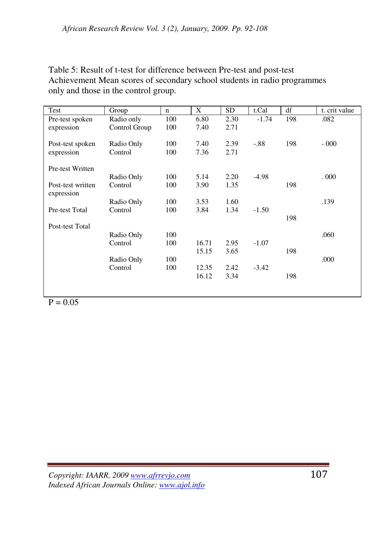Table 5: Result of t-test for difference between Pre-test and post-test Achievement Mean scores of secondary school students in radio programmes only and those in the control group.

| Test                            | Group         | $\mathbf n$ | X     | SD   | t.Cal   | df  | t. crit value |
|---------------------------------|---------------|-------------|-------|------|---------|-----|---------------|
| Pre-test spoken                 | Radio only    | 100         | 6.80  | 2.30 | $-1.74$ | 198 | .082          |
| expression                      | Control Group | 100         | 7.40  | 2.71 |         |     |               |
|                                 |               |             |       |      |         |     |               |
| Post-test spoken                | Radio Only    | 100         | 7.40  | 2.39 | $-88$   | 198 | $-000-$       |
| expression                      | Control       | 100         | 7.36  | 2.71 |         |     |               |
|                                 |               |             |       |      |         |     |               |
| Pre-test Written                |               |             |       |      |         |     |               |
|                                 | Radio Only    | 100         | 5.14  | 2.20 | $-4.98$ |     | .000          |
| Post-test written<br>expression | Control       | 100         | 3.90  | 1.35 |         | 198 |               |
|                                 | Radio Only    | 100         | 3.53  | 1.60 |         |     | .139          |
| Pre-test Total                  | Control       | 100         | 3.84  | 1.34 | $-1.50$ |     |               |
|                                 |               |             |       |      |         | 198 |               |
| Post-test Total                 |               |             |       |      |         |     |               |
|                                 | Radio Only    | 100         |       |      |         |     | .060          |
|                                 | Control       | 100         | 16.71 | 2.95 | $-1.07$ |     |               |
|                                 |               |             | 15.15 | 3.65 |         | 198 |               |
|                                 | Radio Only    | 100         |       |      |         |     | .000          |
|                                 | Control       | 100         | 12.35 | 2.42 | $-3.42$ |     |               |
|                                 |               |             | 16.12 | 3.34 |         | 198 |               |
|                                 |               |             |       |      |         |     |               |
|                                 |               |             |       |      |         |     |               |

 $P = 0.05$